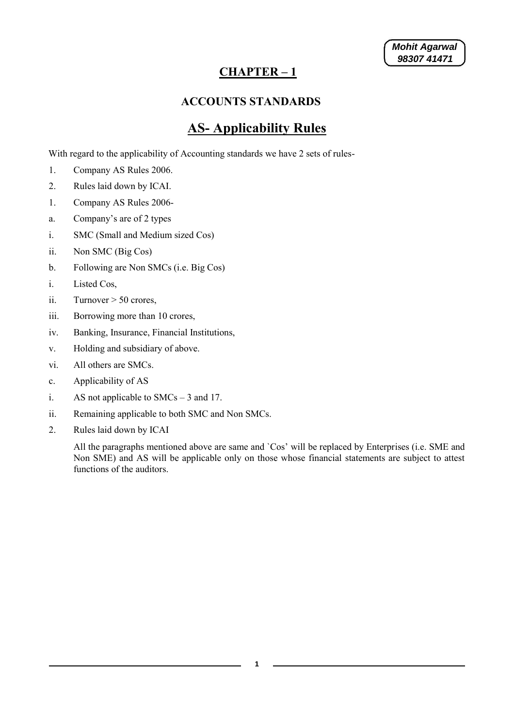#### **CHAPTER – 1**

#### **ACCOUNTS STANDARDS**

#### **AS- Applicability Rules**

With regard to the applicability of Accounting standards we have 2 sets of rules-

- 1. Company AS Rules 2006.
- 2. Rules laid down by ICAI.
- 1. Company AS Rules 2006-
- a. Company's are of 2 types
- i. SMC (Small and Medium sized Cos)
- ii. Non SMC (Big Cos)
- b. Following are Non SMCs (i.e. Big Cos)
- i. Listed Cos,
- ii. Turnover  $> 50$  crores,
- iii. Borrowing more than 10 crores,
- iv. Banking, Insurance, Financial Institutions,
- v. Holding and subsidiary of above.
- vi. All others are SMCs.
- c. Applicability of AS
- i. AS not applicable to SMCs 3 and 17.
- ii. Remaining applicable to both SMC and Non SMCs.
- 2. Rules laid down by ICAI

All the paragraphs mentioned above are same and `Cos' will be replaced by Enterprises (i.e. SME and Non SME) and AS will be applicable only on those whose financial statements are subject to attest functions of the auditors.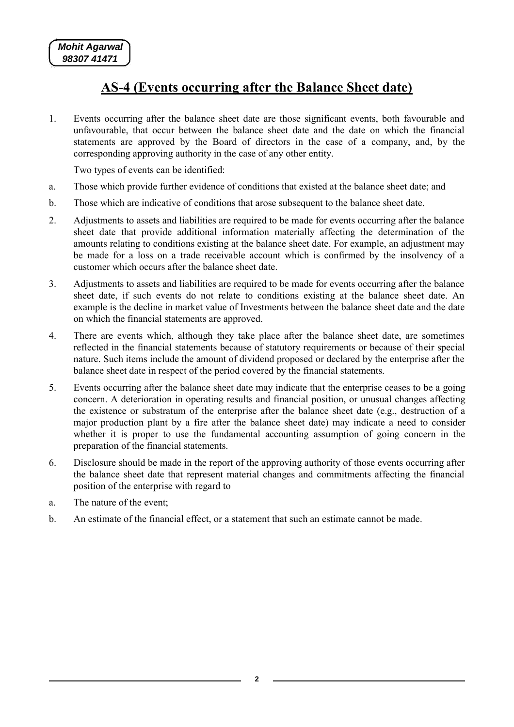### **AS-4 (Events occurring after the Balance Sheet date)**

1. Events occurring after the balance sheet date are those significant events, both favourable and unfavourable, that occur between the balance sheet date and the date on which the financial statements are approved by the Board of directors in the case of a company, and, by the corresponding approving authority in the case of any other entity.

Two types of events can be identified:

- a. Those which provide further evidence of conditions that existed at the balance sheet date; and
- b. Those which are indicative of conditions that arose subsequent to the balance sheet date.
- 2. Adjustments to assets and liabilities are required to be made for events occurring after the balance sheet date that provide additional information materially affecting the determination of the amounts relating to conditions existing at the balance sheet date. For example, an adjustment may be made for a loss on a trade receivable account which is confirmed by the insolvency of a customer which occurs after the balance sheet date.
- 3. Adjustments to assets and liabilities are required to be made for events occurring after the balance sheet date, if such events do not relate to conditions existing at the balance sheet date. An example is the decline in market value of Investments between the balance sheet date and the date on which the financial statements are approved.
- 4. There are events which, although they take place after the balance sheet date, are sometimes reflected in the financial statements because of statutory requirements or because of their special nature. Such items include the amount of dividend proposed or declared by the enterprise after the balance sheet date in respect of the period covered by the financial statements.
- 5. Events occurring after the balance sheet date may indicate that the enterprise ceases to be a going concern. A deterioration in operating results and financial position, or unusual changes affecting the existence or substratum of the enterprise after the balance sheet date (e.g., destruction of a major production plant by a fire after the balance sheet date) may indicate a need to consider whether it is proper to use the fundamental accounting assumption of going concern in the preparation of the financial statements.
- 6. Disclosure should be made in the report of the approving authority of those events occurring after the balance sheet date that represent material changes and commitments affecting the financial position of the enterprise with regard to
- a. The nature of the event;
- b. An estimate of the financial effect, or a statement that such an estimate cannot be made.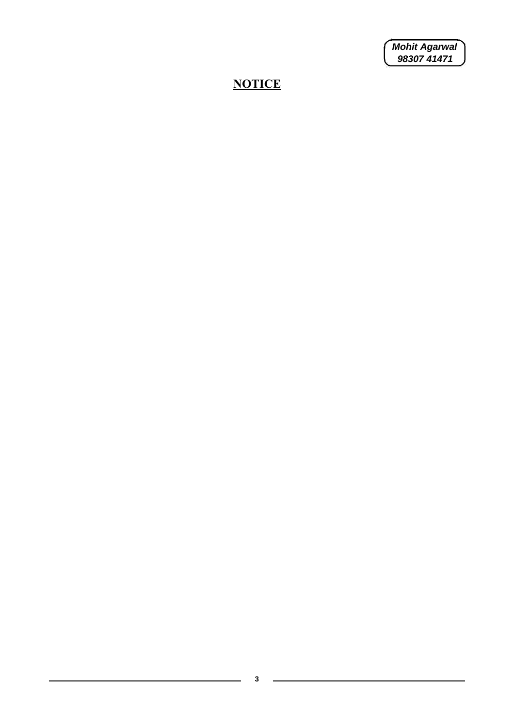*Mohit Agarwal 98307 41471*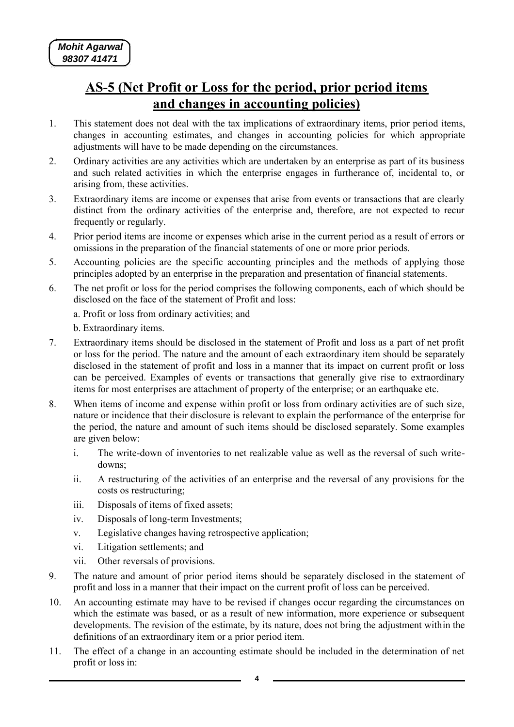#### **AS-5 (Net Profit or Loss for the period, prior period items and changes in accounting policies)**

- 1. This statement does not deal with the tax implications of extraordinary items, prior period items, changes in accounting estimates, and changes in accounting policies for which appropriate adjustments will have to be made depending on the circumstances.
- 2. Ordinary activities are any activities which are undertaken by an enterprise as part of its business and such related activities in which the enterprise engages in furtherance of, incidental to, or arising from, these activities.
- 3. Extraordinary items are income or expenses that arise from events or transactions that are clearly distinct from the ordinary activities of the enterprise and, therefore, are not expected to recur frequently or regularly.
- 4. Prior period items are income or expenses which arise in the current period as a result of errors or omissions in the preparation of the financial statements of one or more prior periods.
- 5. Accounting policies are the specific accounting principles and the methods of applying those principles adopted by an enterprise in the preparation and presentation of financial statements.
- 6. The net profit or loss for the period comprises the following components, each of which should be disclosed on the face of the statement of Profit and loss:
	- a. Profit or loss from ordinary activities; and
	- b. Extraordinary items.
- 7. Extraordinary items should be disclosed in the statement of Profit and loss as a part of net profit or loss for the period. The nature and the amount of each extraordinary item should be separately disclosed in the statement of profit and loss in a manner that its impact on current profit or loss can be perceived. Examples of events or transactions that generally give rise to extraordinary items for most enterprises are attachment of property of the enterprise; or an earthquake etc.
- 8. When items of income and expense within profit or loss from ordinary activities are of such size, nature or incidence that their disclosure is relevant to explain the performance of the enterprise for the period, the nature and amount of such items should be disclosed separately. Some examples are given below:
	- i. The write-down of inventories to net realizable value as well as the reversal of such writedowns;
	- ii. A restructuring of the activities of an enterprise and the reversal of any provisions for the costs os restructuring;
	- iii. Disposals of items of fixed assets;
	- iv. Disposals of long-term Investments;
	- v. Legislative changes having retrospective application;
	- vi. Litigation settlements; and
	- vii. Other reversals of provisions.
- 9. The nature and amount of prior period items should be separately disclosed in the statement of profit and loss in a manner that their impact on the current profit of loss can be perceived.
- 10. An accounting estimate may have to be revised if changes occur regarding the circumstances on which the estimate was based, or as a result of new information, more experience or subsequent developments. The revision of the estimate, by its nature, does not bring the adjustment within the definitions of an extraordinary item or a prior period item.
- 11. The effect of a change in an accounting estimate should be included in the determination of net profit or loss in: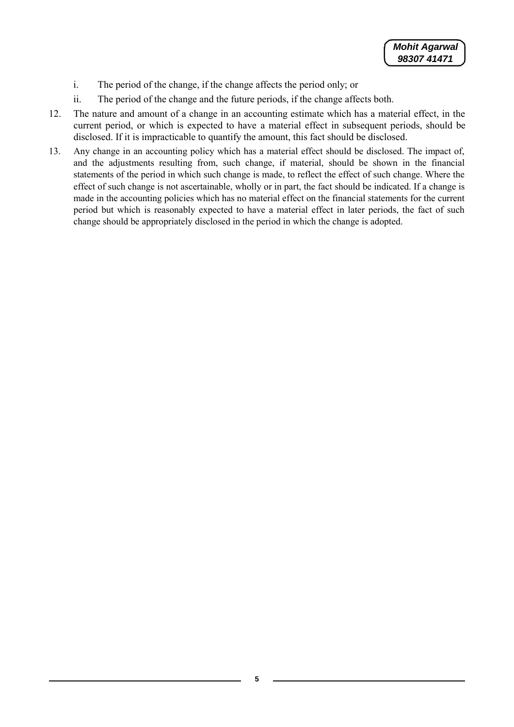- i. The period of the change, if the change affects the period only; or
- ii. The period of the change and the future periods, if the change affects both.
- 12. The nature and amount of a change in an accounting estimate which has a material effect, in the current period, or which is expected to have a material effect in subsequent periods, should be disclosed. If it is impracticable to quantify the amount, this fact should be disclosed.
- 13. Any change in an accounting policy which has a material effect should be disclosed. The impact of, and the adjustments resulting from, such change, if material, should be shown in the financial statements of the period in which such change is made, to reflect the effect of such change. Where the effect of such change is not ascertainable, wholly or in part, the fact should be indicated. If a change is made in the accounting policies which has no material effect on the financial statements for the current period but which is reasonably expected to have a material effect in later periods, the fact of such change should be appropriately disclosed in the period in which the change is adopted.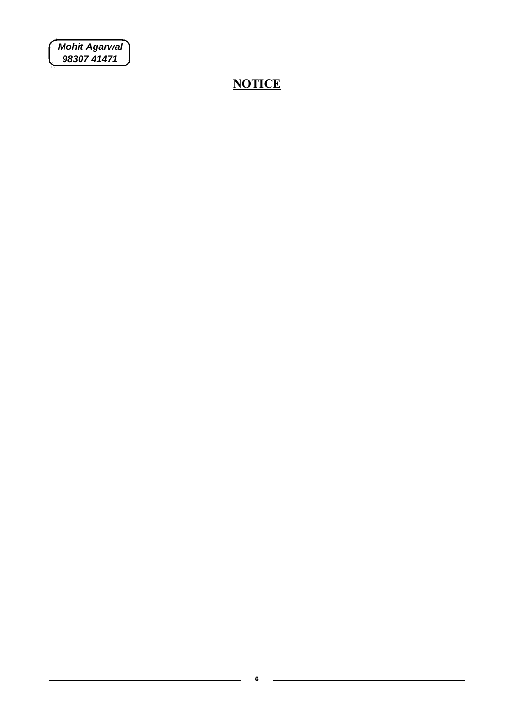*Mohit Agarwal 98307 41471*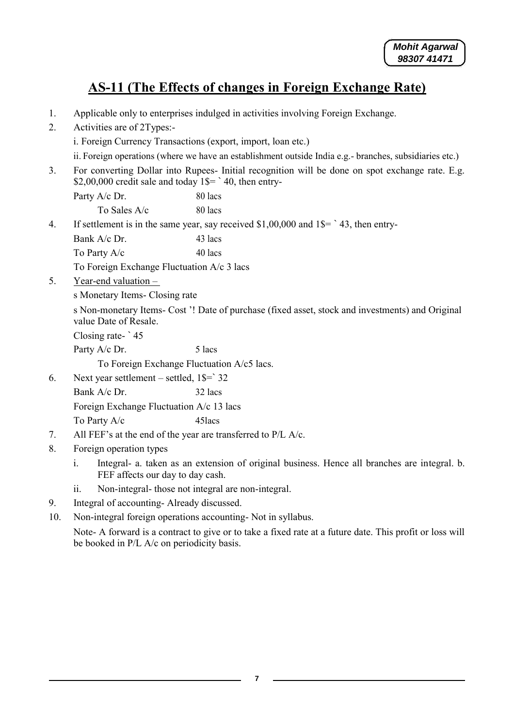### **AS-11 (The Effects of changes in Foreign Exchange Rate)**

- 1. Applicable only to enterprises indulged in activities involving Foreign Exchange.
- 2. Activities are of 2Types:
	- i. Foreign Currency Transactions (export, import, loan etc.)
	- ii. Foreign operations (where we have an establishment outside India e.g.- branches, subsidiaries etc.)
- 3. For converting Dollar into Rupees- Initial recognition will be done on spot exchange rate. E.g. \$2,00,000 credit sale and today  $1\$ = 40, then entry-
- Party A/c Dr. 80 lacs To Sales  $A/c$  80 lacs 4. If settlement is in the same year, say received \$1,00,000 and 1\$= ` 43, then entry-Bank A/c Dr. 43 lacs To Party  $A/c$  40 lacs To Foreign Exchange Fluctuation A/c 3 lacs 5. Year-end valuation –

s Monetary Items- Closing rate

s Non-monetary Items- Cost '! Date of purchase (fixed asset, stock and investments) and Original value Date of Resale.

Closing rate- ` 45

Party A/c Dr. 5 lacs

To Foreign Exchange Fluctuation A/c5 lacs.

- 6. Next year settlement settled,  $1\frac{1}{5}$  32
	- Bank A/c Dr. 32 lacs Foreign Exchange Fluctuation A/c 13 lacs To Party A/c 45 45 45 45 45 45 45 45  $\mu$
- 7. All FEF's at the end of the year are transferred to P/L A/c.
- 8. Foreign operation types
	- i. Integral- a. taken as an extension of original business. Hence all branches are integral. b. FEF affects our day to day cash.
	- ii. Non-integral- those not integral are non-integral.
- 9. Integral of accounting- Already discussed.
- 10. Non-integral foreign operations accounting- Not in syllabus.

Note- A forward is a contract to give or to take a fixed rate at a future date. This profit or loss will be booked in P/L A/c on periodicity basis.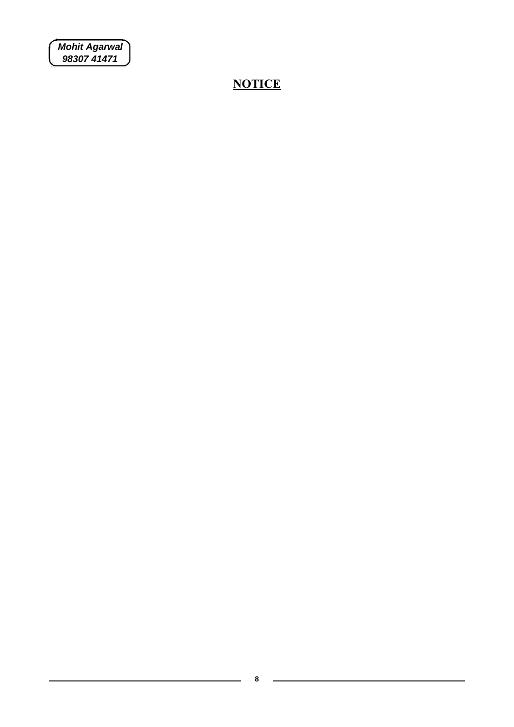*Mohit Agarwal 98307 41471*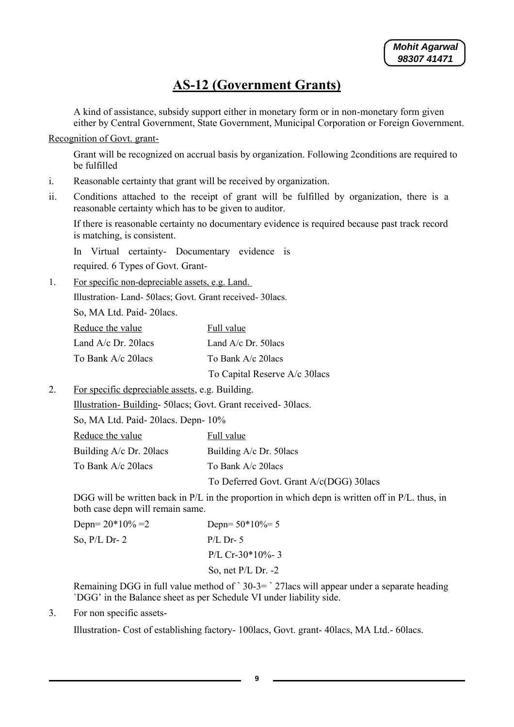#### **AS-12 (Government Grants)**

A kind of assistance, subsidy support either in monetary form or in non-monetary form given either by Central Government, State Government, Municipal Corporation or Foreign Government.

Recognition of Govt. grant-

Grant will be recognized on accrual basis by organization. Following 2conditions are required to be fulfilled

- i. Reasonable certainty that grant will be received by organization.
- ii. Conditions attached to the receipt of grant will be fulfilled by organization, there is a reasonable certainty which has to be given to auditor.

If there is reasonable certainty no documentary evidence is required because past track record is matching, is consistent.

In Virtual certainty- Documentary evidence is required. 6 Types of Govt. Grant-

1. For specific non-depreciable assets, e.g. Land.

Illustration- Land- 50lacs; Govt. Grant received- 30lacs.

So, MA Ltd. Paid- 20lacs.

| Reduce the value       | Full value                     |
|------------------------|--------------------------------|
| Land $A/c$ Dr. 20 lacs | Land $A/c$ Dr. 50 lacs         |
| To Bank A/c 20 lacs    | To Bank A/c 20 lacs            |
|                        | To Capital Reserve A/c 30 lacs |

2. For specific depreciable assets, e.g. Building.

Illustration- Building- 50lacs; Govt. Grant received- 30lacs.

So, MA Ltd. Paid- 20lacs. Depn- 10%

| Reduce the value           | Full value                               |
|----------------------------|------------------------------------------|
| Building $A/c$ Dr. 20 lacs | Building A/c Dr. 50 lacs                 |
| To Bank A/c 20lacs         | To Bank A/c 20 lacs                      |
|                            | To Deferred Govt. Grant A/c(DGG) 30 lacs |

DGG will be written back in P/L in the proportion in which depn is written off in P/L. thus, in both case depn will remain same.

| Depn= $20*10% = 2$ | Depn= $50*10\% = 5$  |
|--------------------|----------------------|
| So, $P/L$ Dr- 2    | $P/L$ Dr- 5          |
|                    | P/L Cr-30*10%-3      |
|                    | So, net $P/L$ Dr. -2 |

Remaining DGG in full value method of ` 30-3= ` 27lacs will appear under a separate heading `DGG' in the Balance sheet as per Schedule VI under liability side.

3. For non specific assets-

Illustration- Cost of establishing factory- 100lacs, Govt. grant- 40lacs, MA Ltd.- 60lacs.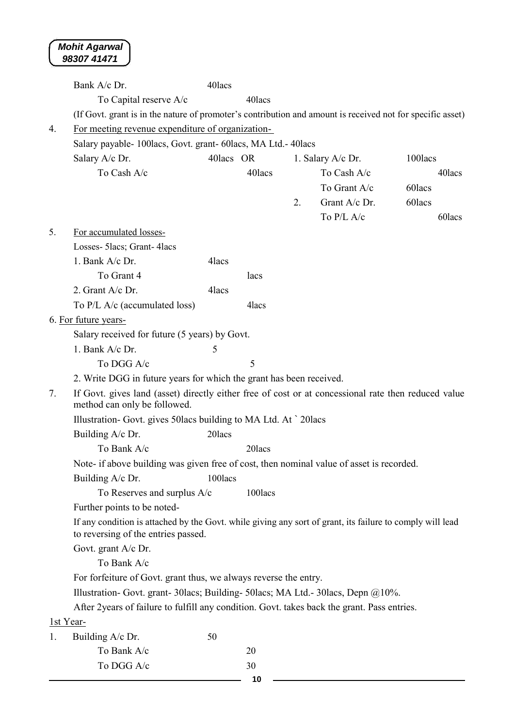|           | Bank A/c Dr.                                                                                                                                     | 40lacs    |         |    |                   |         |
|-----------|--------------------------------------------------------------------------------------------------------------------------------------------------|-----------|---------|----|-------------------|---------|
|           |                                                                                                                                                  |           | 40lacs  |    |                   |         |
|           | To Capital reserve A/c                                                                                                                           |           |         |    |                   |         |
|           | (If Govt. grant is in the nature of promoter's contribution and amount is received not for specific asset)                                       |           |         |    |                   |         |
| 4.        | For meeting revenue expenditure of organization-                                                                                                 |           |         |    |                   |         |
|           | Salary payable-100lacs, Govt. grant-60lacs, MA Ltd.-40lacs                                                                                       |           |         |    |                   |         |
|           | Salary A/c Dr.                                                                                                                                   | 40lacs OR |         |    | 1. Salary A/c Dr. | 100lacs |
|           | To Cash A/c                                                                                                                                      |           | 40lacs  |    | To Cash A/c       | 40lacs  |
|           |                                                                                                                                                  |           |         |    | To Grant A/c      | 60lacs  |
|           |                                                                                                                                                  |           |         | 2. | Grant A/c Dr.     | 60lacs  |
|           |                                                                                                                                                  |           |         |    | To P/L A/c        | 60lacs  |
| 5.        | For accumulated losses-                                                                                                                          |           |         |    |                   |         |
|           | Losses- 5lacs; Grant-4lacs                                                                                                                       |           |         |    |                   |         |
|           | 1. Bank A/c Dr.                                                                                                                                  | 4lacs     |         |    |                   |         |
|           | To Grant 4                                                                                                                                       |           | lacs    |    |                   |         |
|           | 2. Grant $A/c$ Dr.                                                                                                                               | 4lacs     |         |    |                   |         |
|           | To P/L A/c (accumulated loss)                                                                                                                    |           | 4lacs   |    |                   |         |
|           | 6. For future years-                                                                                                                             |           |         |    |                   |         |
|           | Salary received for future (5 years) by Govt.                                                                                                    |           |         |    |                   |         |
|           | 1. Bank A/c Dr.                                                                                                                                  | 5         |         |    |                   |         |
|           | To DGG A/c                                                                                                                                       |           | 5       |    |                   |         |
|           | 2. Write DGG in future years for which the grant has been received.                                                                              |           |         |    |                   |         |
| 7.        | If Govt. gives land (asset) directly either free of cost or at concessional rate then reduced value<br>method can only be followed.              |           |         |    |                   |         |
|           | Illustration- Govt. gives 50 lacs building to MA Ltd. At `20 lacs                                                                                |           |         |    |                   |         |
|           | Building A/c Dr.                                                                                                                                 | 20lacs    |         |    |                   |         |
|           | To Bank A/c                                                                                                                                      |           | 20lacs  |    |                   |         |
|           | Note- if above building was given free of cost, then nominal value of asset is recorded.                                                         |           |         |    |                   |         |
|           | Building A/c Dr.                                                                                                                                 | 100lacs   |         |    |                   |         |
|           | To Reserves and surplus A/c                                                                                                                      |           | 100lacs |    |                   |         |
|           | Further points to be noted-                                                                                                                      |           |         |    |                   |         |
|           | If any condition is attached by the Govt. while giving any sort of grant, its failure to comply will lead<br>to reversing of the entries passed. |           |         |    |                   |         |
|           | Govt. grant A/c Dr.                                                                                                                              |           |         |    |                   |         |
|           | To Bank A/c                                                                                                                                      |           |         |    |                   |         |
|           | For forfeiture of Govt. grant thus, we always reverse the entry.                                                                                 |           |         |    |                   |         |
|           | Illustration- Govt. grant- 30lacs; Building- 50lacs; MA Ltd.- 30lacs, Depn @10%.                                                                 |           |         |    |                   |         |
|           | After 2 years of failure to fulfill any condition. Govt. takes back the grant. Pass entries.                                                     |           |         |    |                   |         |
| 1st Year- |                                                                                                                                                  |           |         |    |                   |         |
| 1.        | Building A/c Dr.                                                                                                                                 | 50        |         |    |                   |         |
|           | To Bank A/c                                                                                                                                      |           | 20      |    |                   |         |
|           | To DGG A/c                                                                                                                                       |           | 30      |    |                   |         |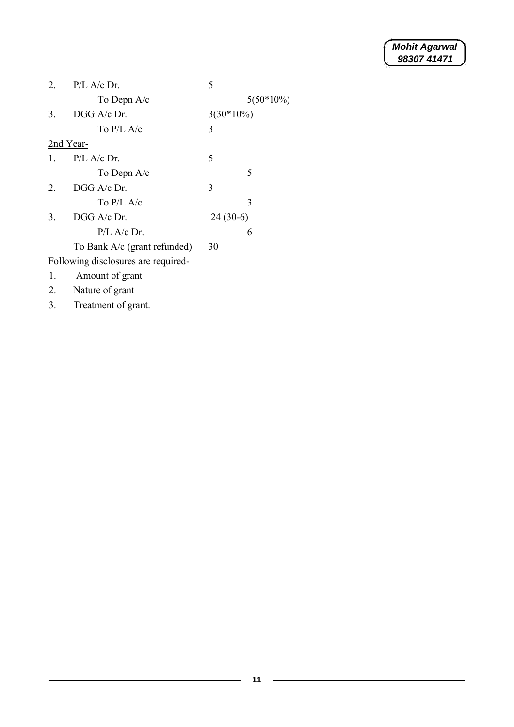| 2            | $P/L$ A/c Dr.                       | 5            |
|--------------|-------------------------------------|--------------|
|              | To Depn $A/c$                       | $5(50*10\%)$ |
| 3.           | $DGG$ A/c Dr.                       | $3(30*10\%)$ |
|              | To P/L A/c                          | 3            |
|              | 2nd Year-                           |              |
| $\mathbf{1}$ | $P/L$ A/c Dr.                       | 5            |
|              | To Depn $A/c$                       | 5            |
| 2            | DGG A/c Dr.                         | 3            |
|              | To $P/I$ . A/c                      | 3            |
| 3.           | $DGG$ A/c Dr.                       | $24(30-6)$   |
|              | $P/L$ A/c Dr.                       | 6            |
|              | To Bank A/c (grant refunded)        | 30           |
|              | Following disclosures are required- |              |
| 1.           | Amount of grant                     |              |
| 2.           | Nature of grant                     |              |

3. Treatment of grant.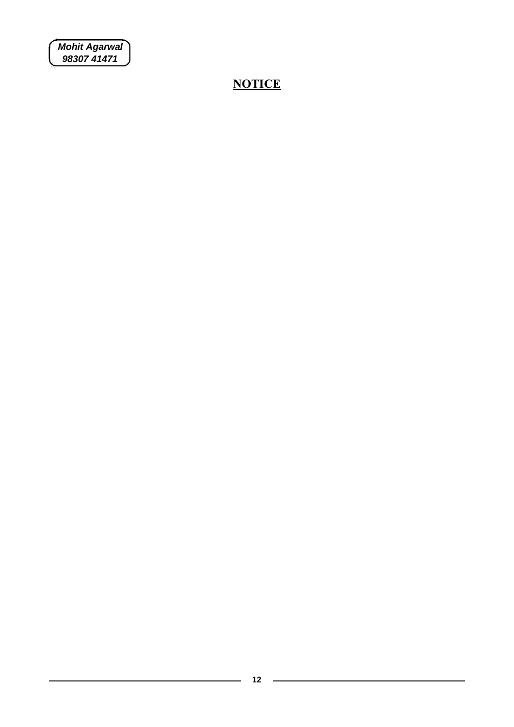*Mohit Agarwal 98307 41471*

L.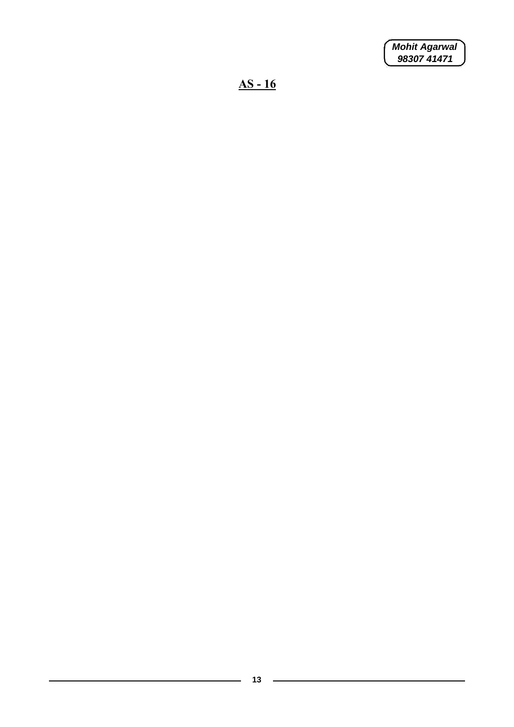*Mohit Agarwal 98307 41471*

**AS - 16**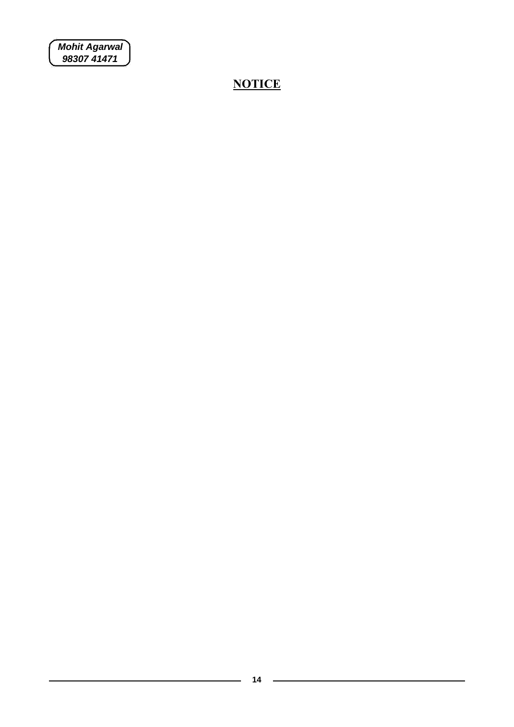*Mohit Agarwal 98307 41471*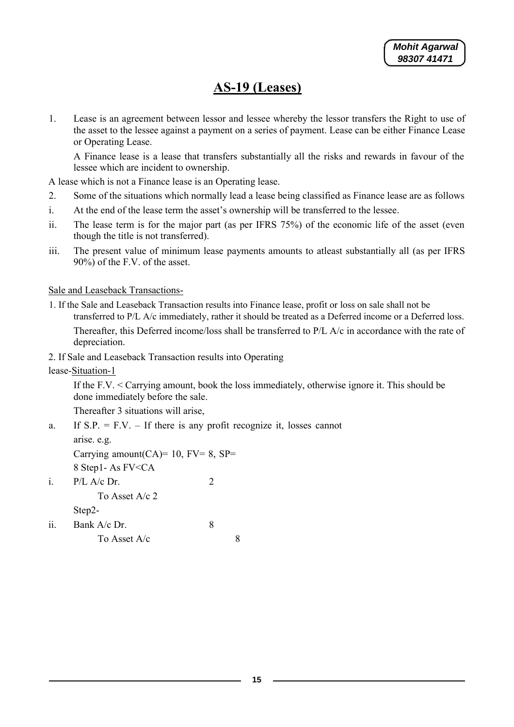### **AS-19 (Leases)**

1. Lease is an agreement between lessor and lessee whereby the lessor transfers the Right to use of the asset to the lessee against a payment on a series of payment. Lease can be either Finance Lease or Operating Lease.

A Finance lease is a lease that transfers substantially all the risks and rewards in favour of the lessee which are incident to ownership.

A lease which is not a Finance lease is an Operating lease.

- 2. Some of the situations which normally lead a lease being classified as Finance lease are as follows
- i. At the end of the lease term the asset's ownership will be transferred to the lessee.
- ii. The lease term is for the major part (as per IFRS 75%) of the economic life of the asset (even though the title is not transferred).
- iii. The present value of minimum lease payments amounts to atleast substantially all (as per IFRS 90%) of the F.V. of the asset.

Sale and Leaseback Transactions-

1. If the Sale and Leaseback Transaction results into Finance lease, profit or loss on sale shall not be transferred to P/L A/c immediately, rather it should be treated as a Deferred income or a Deferred loss. Thereafter, this Deferred income/loss shall be transferred to P/L A/c in accordance with the rate of depreciation.

2. If Sale and Leaseback Transaction results into Operating

lease-Situation-1

If the F.V. < Carrying amount, book the loss immediately, otherwise ignore it. This should be done immediately before the sale.

Thereafter 3 situations will arise,

a. If  $S.P. = F.V. - If there is any profit recognize it, losses cannot$ 

arise. e.g.

Carrying amount  $(CA)$ = 10, FV= 8, SP= 8 Step1- As FV<CA

i.  $P/L$  A/c Dr. 2

To Asset A/c 2 Step2-

ii. Bank A/c Dr. 8 To Asset  $A/c$  8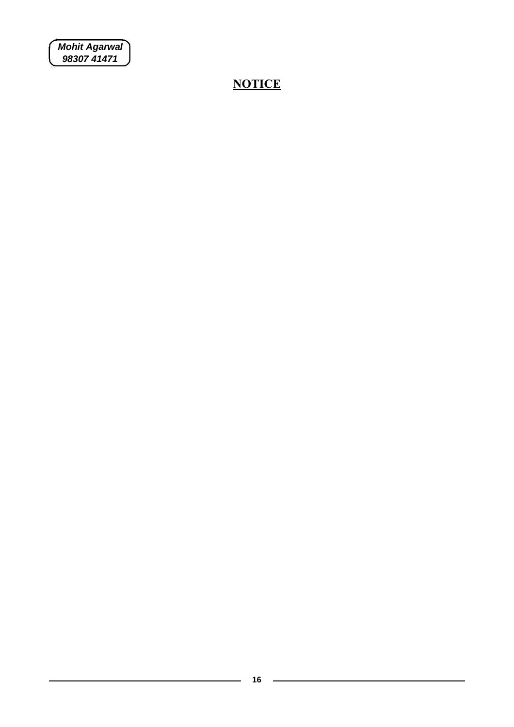*Mohit Agarwal 98307 41471*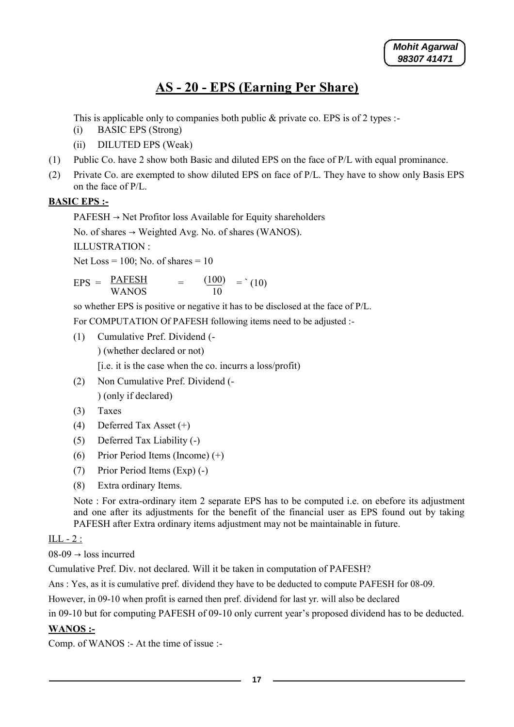# **AS - 20 - EPS (Earning Per Share)**

This is applicable only to companies both public & private co. EPS is of 2 types :-

- (i) BASIC EPS (Strong)
- (ii) DILUTED EPS (Weak)
- (1) Public Co. have 2 show both Basic and diluted EPS on the face of P/L with equal prominance.
- (2) Private Co. are exempted to show diluted EPS on face of P/L. They have to show only Basis EPS on the face of P/L.

#### **BASIC EPS :-**

 $PAFESH \rightarrow Net$  Profitor loss Available for Equity shareholders

No. of shares  $\rightarrow$  Weighted Avg. No. of shares (WANOS).

ILLUSTRATION :

Net Loss =  $100$ ; No. of shares =  $10$ 

 $EPS = \frac{PAFESH}{WANOS}$  $\frac{(100)}{2}$  = (10) WANOS 10

so whether EPS is positive or negative it has to be disclosed at the face of P/L.

For COMPUTATION Of PAFESH following items need to be adjusted :-

(1) Cumulative Pref. Dividend (-

) (whether declared or not)

[i.e. it is the case when the co. incurrs a loss/profit)

- (2) Non Cumulative Pref. Dividend (- ) (only if declared)
- (3) Taxes
- (4) Deferred Tax Asset (+)
- (5) Deferred Tax Liability (-)
- (6) Prior Period Items (Income) (+)
- (7) Prior Period Items (Exp) (-)
- (8) Extra ordinary Items.

Note : For extra-ordinary item 2 separate EPS has to be computed i.e. on ebefore its adjustment and one after its adjustments for the benefit of the financial user as EPS found out by taking PAFESH after Extra ordinary items adjustment may not be maintainable in future.

#### $ILL-2:$

 $08-09 \rightarrow$  loss incurred

Cumulative Pref. Div. not declared. Will it be taken in computation of PAFESH?

Ans : Yes, as it is cumulative pref. dividend they have to be deducted to compute PAFESH for 08-09.

However, in 09-10 when profit is earned then pref. dividend for last yr. will also be declared

in 09-10 but for computing PAFESH of 09-10 only current year's proposed dividend has to be deducted.

#### **WANOS :-**

Comp. of WANOS :- At the time of issue :-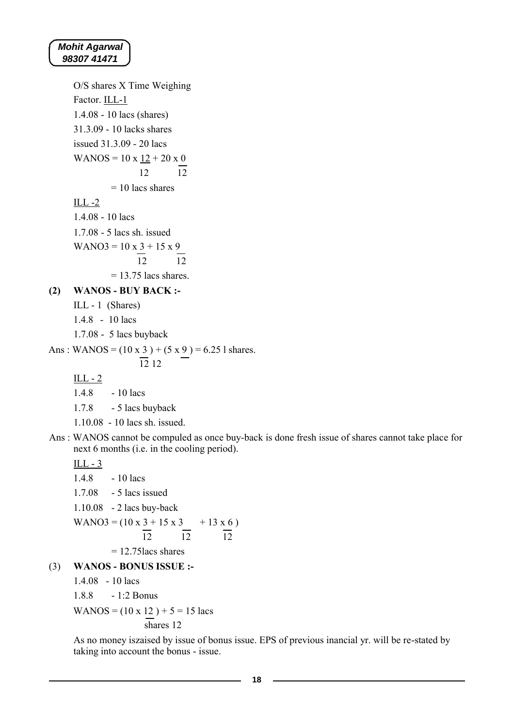#### *Mohit Agarwal 98307 41471*

O/S shares X Time Weighing Factor. ILL-1 1.4.08 - 10 lacs (shares) 31.3.09 - 10 lacks shares issued 31.3.09 - 20 lacs WANOS =  $10 \times 12 + 20 \times 0$ 12 12  $= 10$  lacs shares  $ILL -2$ 1.4.08 - 10 lacs 1.7.08 - 5 lacs sh. issued  $WANO3 = 10 \times 3 + 15 \times 9$  $\frac{1}{12}$   $\frac{1}{12}$  $= 13.75$  lacs shares. **(2) WANOS - BUY BACK :-** ILL - 1 (Shares) 1.4.8 - 10 lacs 1.7.08 - 5 lacs buyback Ans: WANOS =  $(10 \times 3) + (5 \times 9) = 6.25$  l shares. 12 12  $ILL - 2$ 1.4.8 - 10 lacs

1.7.8 - 5 lacs buyback

1.10.08 - 10 lacs sh. issued.

Ans : WANOS cannot be compuled as once buy-back is done fresh issue of shares cannot take place for next 6 months (i.e. in the cooling period).

 $ILL - 3$ 

1.4.8 - 10 lacs 1.7.08 - 5 lacs issued 1.10.08 - 2 lacs buy-back WANO3 =  $(10 \times 3 + 15 \times 3 + 13 \times 6)$ 12 12 12  $= 12.75$ lacs shares (3) **WANOS - BONUS ISSUE :-**

1.4.08 - 10 lacs

1.8.8 - 1:2 Bonus

WANOS =  $(10 \times 12) + 5 = 15$  lacs

shares 12

As no money iszaised by issue of bonus issue. EPS of previous inancial yr. will be re-stated by taking into account the bonus - issue.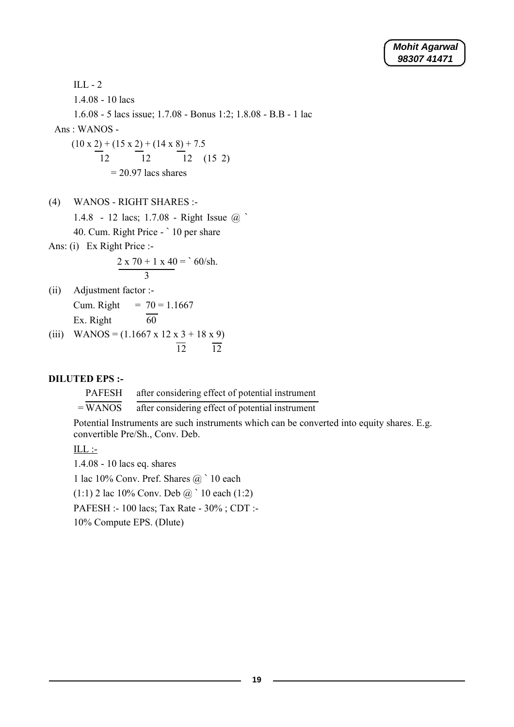```
Mohit Agarwal
98307 41471
```
ILL - 2 1.4.08 - 10 lacs 1.6.08 - 5 lacs issue; 1.7.08 - Bonus 1:2; 1.8.08 - B.B - 1 lac Ans : WANOS -  $(10 \times 2) + (15 \times 2) + (14 \times 8) + 7.5$ 12 12 12 (15 2)  $= 20.97$  lacs shares

(4) WANOS - RIGHT SHARES :-

1.4.8 - 12 lacs; 1.7.08 - Right Issue @ `

40. Cum. Right Price - ` 10 per share

Ans: (i) Ex Right Price :-

$$
\frac{2 \times 70 + 1 \times 40}{3} = 60 \text{/h}.
$$

- (ii) Adjustment factor :- Cum. Right =  $70 = 1.1667$ Ex. Right  $\overline{60}$
- (iii) WANOS =  $(1.1667 \times 12 \times 3 + 18 \times 9)$  $\overline{12}$   $\overline{12}$

#### **DILUTED EPS :-**

PAFESH after considering effect of potential instrument

 $=\overline{WANOS}$ after considering effect of potential instrument

Potential Instruments are such instruments which can be converted into equity shares. E.g. convertible Pre/Sh., Conv. Deb.

 $ILL$ :-

1.4.08 - 10 lacs eq. shares

1 lac 10% Conv. Pref. Shares @ ` 10 each

 $(1:1)$  2 lac 10% Conv. Deb  $@$  10 each  $(1:2)$ 

PAFESH :- 100 lacs; Tax Rate - 30% ; CDT :-

10% Compute EPS. (Dlute)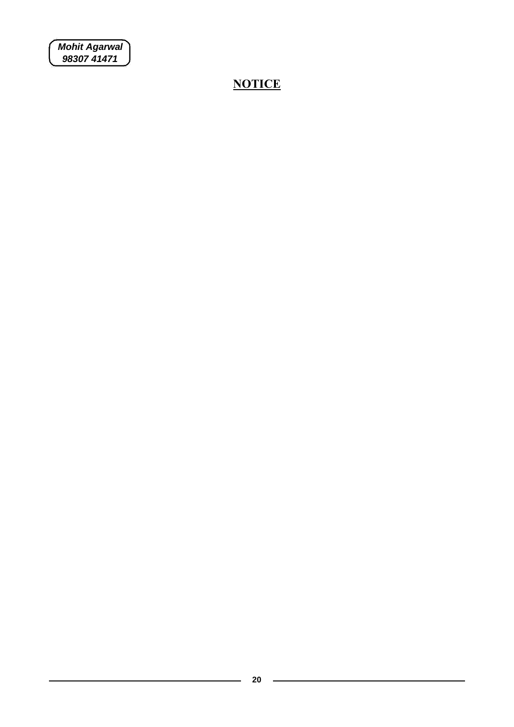*Mohit Agarwal 98307 41471*